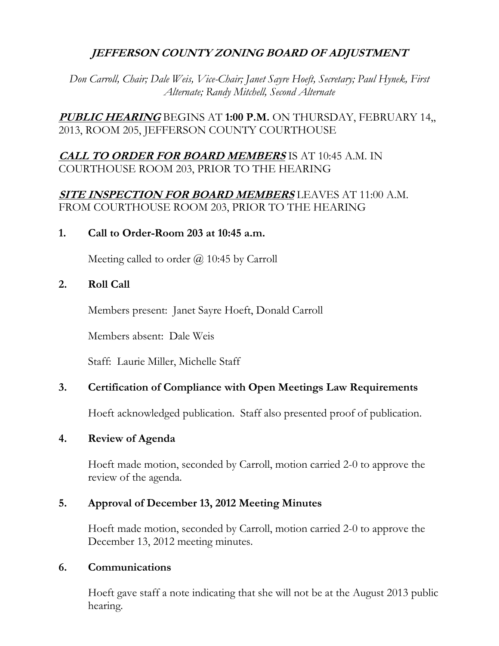## **JEFFERSON COUNTY ZONING BOARD OF ADJUSTMENT**

*Don Carroll, Chair; Dale Weis, Vice-Chair; Janet Sayre Hoeft, Secretary; Paul Hynek, First Alternate; Randy Mitchell, Second Alternate*

**PUBLIC HEARING** BEGINS AT **1:00 P.M.** ON THURSDAY, FEBRUARY 14,, 2013, ROOM 205, JEFFERSON COUNTY COURTHOUSE

## **CALL TO ORDER FOR BOARD MEMBERS** IS AT 10:45 A.M. IN COURTHOUSE ROOM 203, PRIOR TO THE HEARING

## **SITE INSPECTION FOR BOARD MEMBERS** LEAVES AT 11:00 A.M. FROM COURTHOUSE ROOM 203, PRIOR TO THE HEARING

### **1. Call to Order-Room 203 at 10:45 a.m.**

Meeting called to order  $\omega$  10:45 by Carroll

### **2. Roll Call**

Members present: Janet Sayre Hoeft, Donald Carroll

Members absent: Dale Weis

Staff: Laurie Miller, Michelle Staff

### **3. Certification of Compliance with Open Meetings Law Requirements**

Hoeft acknowledged publication. Staff also presented proof of publication.

### **4. Review of Agenda**

Hoeft made motion, seconded by Carroll, motion carried 2-0 to approve the review of the agenda.

### **5. Approval of December 13, 2012 Meeting Minutes**

Hoeft made motion, seconded by Carroll, motion carried 2-0 to approve the December 13, 2012 meeting minutes.

#### **6. Communications**

Hoeft gave staff a note indicating that she will not be at the August 2013 public hearing.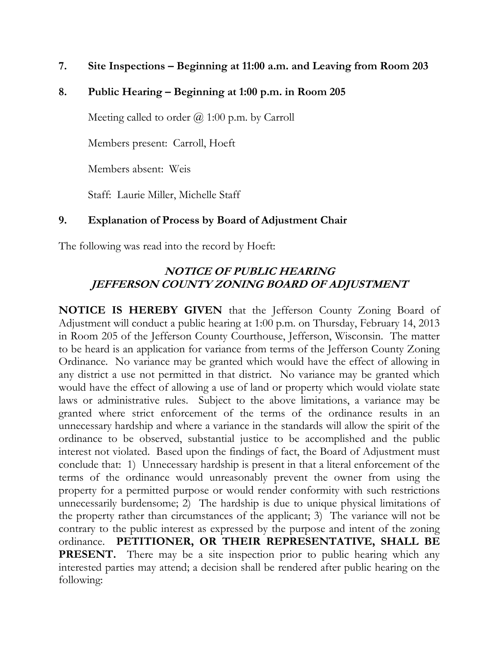**7. Site Inspections – Beginning at 11:00 a.m. and Leaving from Room 203**

## **8. Public Hearing – Beginning at 1:00 p.m. in Room 205**

Meeting called to order  $(a)$  1:00 p.m. by Carroll

Members present: Carroll, Hoeft

Members absent: Weis

Staff: Laurie Miller, Michelle Staff

## **9. Explanation of Process by Board of Adjustment Chair**

The following was read into the record by Hoeft:

## **NOTICE OF PUBLIC HEARING JEFFERSON COUNTY ZONING BOARD OF ADJUSTMENT**

**NOTICE IS HEREBY GIVEN** that the Jefferson County Zoning Board of Adjustment will conduct a public hearing at 1:00 p.m. on Thursday, February 14, 2013 in Room 205 of the Jefferson County Courthouse, Jefferson, Wisconsin. The matter to be heard is an application for variance from terms of the Jefferson County Zoning Ordinance. No variance may be granted which would have the effect of allowing in any district a use not permitted in that district. No variance may be granted which would have the effect of allowing a use of land or property which would violate state laws or administrative rules. Subject to the above limitations, a variance may be granted where strict enforcement of the terms of the ordinance results in an unnecessary hardship and where a variance in the standards will allow the spirit of the ordinance to be observed, substantial justice to be accomplished and the public interest not violated. Based upon the findings of fact, the Board of Adjustment must conclude that: 1) Unnecessary hardship is present in that a literal enforcement of the terms of the ordinance would unreasonably prevent the owner from using the property for a permitted purpose or would render conformity with such restrictions unnecessarily burdensome; 2) The hardship is due to unique physical limitations of the property rather than circumstances of the applicant; 3) The variance will not be contrary to the public interest as expressed by the purpose and intent of the zoning ordinance. **PETITIONER, OR THEIR REPRESENTATIVE, SHALL BE PRESENT.** There may be a site inspection prior to public hearing which any interested parties may attend; a decision shall be rendered after public hearing on the following: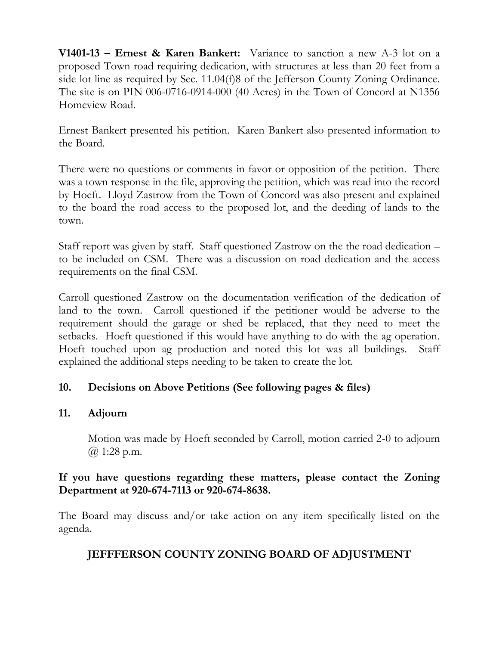**V1401-13 – Ernest & Karen Bankert:** Variance to sanction a new A-3 lot on a proposed Town road requiring dedication, with structures at less than 20 feet from a side lot line as required by Sec. 11.04(f)8 of the Jefferson County Zoning Ordinance. The site is on PIN 006-0716-0914-000 (40 Acres) in the Town of Concord at N1356 Homeview Road.

Ernest Bankert presented his petition. Karen Bankert also presented information to the Board.

There were no questions or comments in favor or opposition of the petition. There was a town response in the file, approving the petition, which was read into the record by Hoeft. Lloyd Zastrow from the Town of Concord was also present and explained to the board the road access to the proposed lot, and the deeding of lands to the town.

Staff report was given by staff. Staff questioned Zastrow on the the road dedication – to be included on CSM. There was a discussion on road dedication and the access requirements on the final CSM.

Carroll questioned Zastrow on the documentation verification of the dedication of land to the town. Carroll questioned if the petitioner would be adverse to the requirement should the garage or shed be replaced, that they need to meet the setbacks. Hoeft questioned if this would have anything to do with the ag operation. Hoeft touched upon ag production and noted this lot was all buildings. Staff explained the additional steps needing to be taken to create the lot.

## **10. Decisions on Above Petitions (See following pages & files)**

### **11. Adjourn**

Motion was made by Hoeft seconded by Carroll, motion carried 2-0 to adjourn @ 1:28 p.m.

## **If you have questions regarding these matters, please contact the Zoning Department at 920-674-7113 or 920-674-8638.**

The Board may discuss and/or take action on any item specifically listed on the agenda.

# **JEFFFERSON COUNTY ZONING BOARD OF ADJUSTMENT**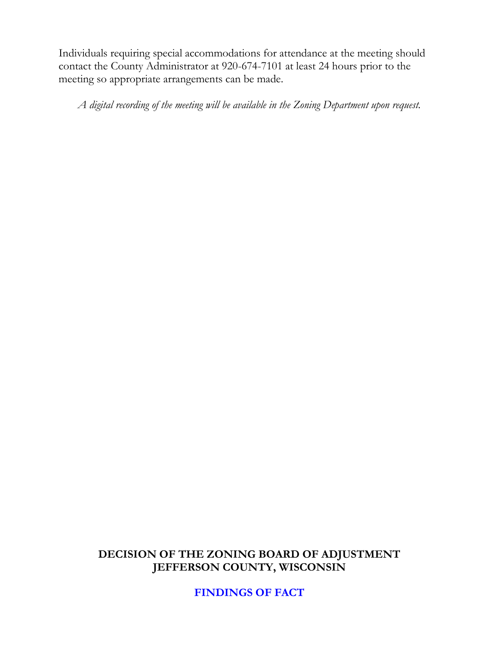Individuals requiring special accommodations for attendance at the meeting should contact the County Administrator at 920-674-7101 at least 24 hours prior to the meeting so appropriate arrangements can be made.

*A digital recording of the meeting will be available in the Zoning Department upon request.*

## **DECISION OF THE ZONING BOARD OF ADJUSTMENT JEFFERSON COUNTY, WISCONSIN**

**FINDINGS OF FACT**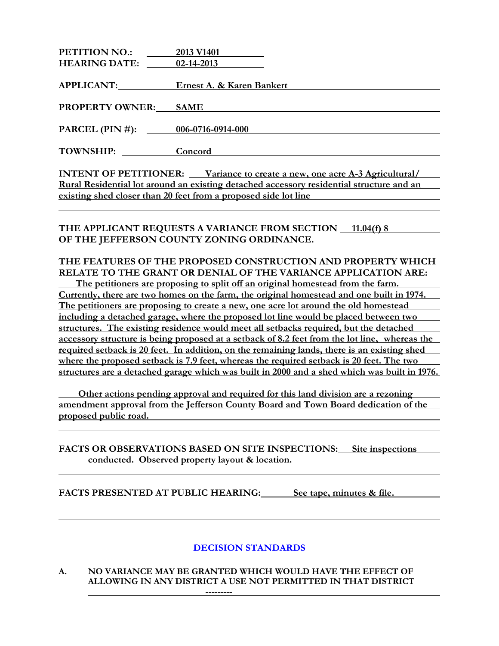| <b>PETITION NO.:</b>   | 2013 V1401                |
|------------------------|---------------------------|
| <b>HEARING DATE:</b>   | 02-14-2013                |
|                        |                           |
| <b>APPLICANT:</b>      | Ernest A. & Karen Bankert |
|                        |                           |
| <b>PROPERTY OWNER:</b> | <b>SAME</b>               |
|                        |                           |
| PARCEL $(PIN #)$ :     | 006-0716-0914-000         |
|                        |                           |
| TOWNSHIP:              | Concord                   |
|                        |                           |
|                        | .                         |

**INTENT OF PETITIONER: Variance to create a new, one acre A-3 Agricultural/ Rural Residential lot around an existing detached accessory residential structure and an existing shed closer than 20 feet from a proposed side lot line**

THE APPLICANT REQUESTS A VARIANCE FROM SECTION 11.04(f) 8 **OF THE JEFFERSON COUNTY ZONING ORDINANCE.**

#### **THE FEATURES OF THE PROPOSED CONSTRUCTION AND PROPERTY WHICH RELATE TO THE GRANT OR DENIAL OF THE VARIANCE APPLICATION ARE:**

 **The petitioners are proposing to split off an original homestead from the farm. Currently, there are two homes on the farm, the original homestead and one built in 1974. The petitioners are proposing to create a new, one acre lot around the old homestead including a detached garage, where the proposed lot line would be placed between two structures. The existing residence would meet all setbacks required, but the detached accessory structure is being proposed at a setback of 8.2 feet from the lot line, whereas the required setback is 20 feet. In addition, on the remaining lands, there is an existing shed where the proposed setback is 7.9 feet, whereas the required setback is 20 feet. The two structures are a detached garage which was built in 2000 and a shed which was built in 1976.**

 **Other actions pending approval and required for this land division are a rezoning amendment approval from the Jefferson County Board and Town Board dedication of the proposed public road.** 

**FACTS OR OBSERVATIONS BASED ON SITE INSPECTIONS: Site inspections conducted. Observed property layout & location.**

**FACTS PRESENTED AT PUBLIC HEARING: See tape, minutes & file.**

#### **DECISION STANDARDS**

#### **A. NO VARIANCE MAY BE GRANTED WHICH WOULD HAVE THE EFFECT OF ALLOWING IN ANY DISTRICT A USE NOT PERMITTED IN THAT DISTRICT**

**---------**